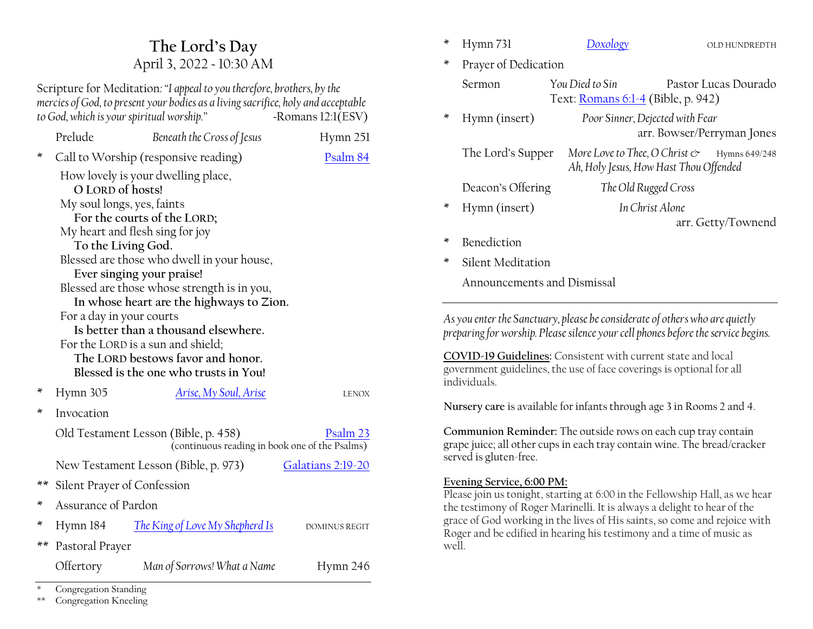# **The Lord·s Day** April 3, 2022 ~ 10:30 AM

Scripture for Meditation*:´I appeal to you therefore, brothers, by the mercies of God, to present your bodies as a living sacrifice, holy and acceptable to God, which is your spiritual worship.*<sup>*n*</sup>  $\sim$ Romans 12:1(ESV)

|    | Prelude                                                                                            | Beneath the Cross of Jesus            | Hymn 251             |  |  |  |  |
|----|----------------------------------------------------------------------------------------------------|---------------------------------------|----------------------|--|--|--|--|
| ×  | Call to Worship (responsive reading)                                                               | Psalm 84                              |                      |  |  |  |  |
|    | How lovely is your dwelling place,                                                                 |                                       |                      |  |  |  |  |
|    | O LORD of hosts!                                                                                   |                                       |                      |  |  |  |  |
|    | My soul longs, yes, faints                                                                         |                                       |                      |  |  |  |  |
|    | For the courts of the LORD;                                                                        |                                       |                      |  |  |  |  |
|    | My heart and flesh sing for joy                                                                    |                                       |                      |  |  |  |  |
|    | To the Living God.                                                                                 |                                       |                      |  |  |  |  |
|    | Blessed are those who dwell in your house,<br>Ever singing your praise!                            |                                       |                      |  |  |  |  |
|    | Blessed are those whose strength is in you,                                                        |                                       |                      |  |  |  |  |
|    | In whose heart are the highways to Zion.                                                           |                                       |                      |  |  |  |  |
|    | For a day in your courts                                                                           |                                       |                      |  |  |  |  |
|    | Is better than a thousand elsewhere.                                                               |                                       |                      |  |  |  |  |
|    | For the LORD is a sun and shield;                                                                  |                                       |                      |  |  |  |  |
|    | The LORD bestows favor and honor.                                                                  |                                       |                      |  |  |  |  |
|    |                                                                                                    | Blessed is the one who trusts in You! |                      |  |  |  |  |
| ×  | Hymn 305                                                                                           | <u>Arise, My Soul, Arise</u>          | <b>LENOX</b>         |  |  |  |  |
| ×  | Invocation                                                                                         |                                       |                      |  |  |  |  |
|    | Old Testament Lesson (Bible, p. 458)<br>Psalm 23<br>(continuous reading in book one of the Psalms) |                                       |                      |  |  |  |  |
|    |                                                                                                    | New Testament Lesson (Bible, p. 973)  | Galatians 2:19-20    |  |  |  |  |
|    | ** Silent Prayer of Confession                                                                     |                                       |                      |  |  |  |  |
| ×  | Assurance of Pardon                                                                                |                                       |                      |  |  |  |  |
| ×  | Hymn 184                                                                                           | The King of Love My Shepherd Is       | <b>DOMINUS REGIT</b> |  |  |  |  |
| ** | Pastoral Prayer                                                                                    |                                       |                      |  |  |  |  |
|    | Offertory                                                                                          | Man of Sorrows! What a Name           | Hymn 246             |  |  |  |  |

|  | Hymn 731 |  |  |
|--|----------|--|--|
|--|----------|--|--|

- Prayer of Dedication
	- Sermon *You Died to Sin* Pastor Lucas Dourado Text[: Romans 6:1-4](https://www.esv.org/Romans+6/) (Bible, p. 942)
- \* Hymn (insert) *Poor Sinner, Dejected with Fear* arr. Bowser/Perryman Jones
	- The Lord's Supper More Love to Thee, O Christ  $\mathfrak{S}$  Hymns 649/248 *Ah, Holy Jesus, How Hast Thou Offended*

Deacon's Offering *The Old Rugged Cross* 

\* Hymn (insert) *In Christ Alone*

arr. Getty/Townend

- \* Benediction
- Silent Meditation

Announcements and Dismissal

*As you enter the Sanctuary, please be considerate of others who are quietly preparing for worship. Please silence your cell phones before the service begins.*

**COVID-19 Guidelines:** Consistent with current state and local government guidelines, the use of face coverings is optional for all individuals.

**Nursery care** is available for infants through age 3 in Rooms 2 and 4.

**Communion Reminder:** The outside rows on each cup tray contain grape juice; all other cups in each tray contain wine. The bread/cracker served is gluten-free.

#### **Evening Service, 6:00 PM:**

Please join us tonight, starting at 6:00 in the Fellowship Hall, as we hear the testimony of Roger Marinelli. It is always a delight to hear of the grace of God working in the lives of His saints, so come and rejoice with Roger and be edified in hearing his testimony and a time of music as well.

Congregation Standing

\*\* Congregation Kneeling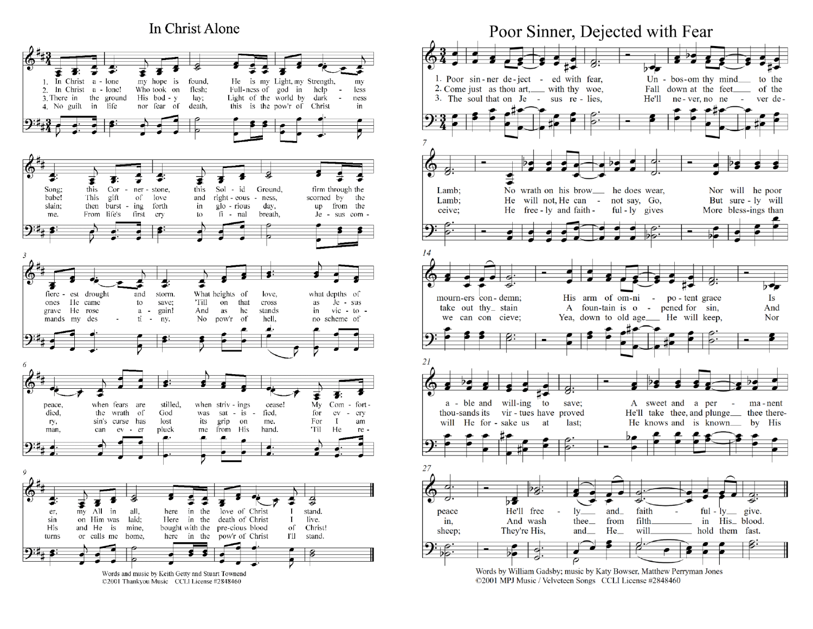## In Christ Alone



Poor Sinner, Dejected with Fear 1. Poor sin-ner de-ject - ed with fear, Un - bos-om thy  $mind$ to the 2. Come just as thou art, with thy woe, Fall down at the feet of the 3. The soul that on Je - sus re - lies, He'll ne-ver, no ne **Contract** ver de-No wrath on his brow\_ he does wear, Nor will he poor Lamb: He will not, He can - not say, Go, Lamb; But sure - ly will He free - ly and faith  $ful$  -  $ly$  gives More bless-ings than ceive; 14 mourn-ers con-demn; His arm of om-ni - po-tent grace Is A foun-tain is o - pened for sin, take out thy  $\leq$  stain And we can con cieve; Yea, down to old age\_\_\_ He will keep, Nor 21 a - ble and will-ing  $\int$  to save; A sweet and a per - ma-nent thou-sands its vir - tues have proved He'll take thee, and plunge<sub>thee</sub> thee therewill He for - sake us at last: He knows and is known by His 27 Ъ. peace He'll free  $ly_$  $and$ faith  $ful$  -  $ly$  give. And wash from filth\_ in His\_ blood. thee<sub>—</sub> in, They're His, and\_  $He$ will hold them fast. sheep;  $\overline{\rho}$ 

Words by William Gadsby; music by Katy Bowser, Matthew Perryman Jones ©2001 MPJ Music / Velveteen Songs CCLI License #2848460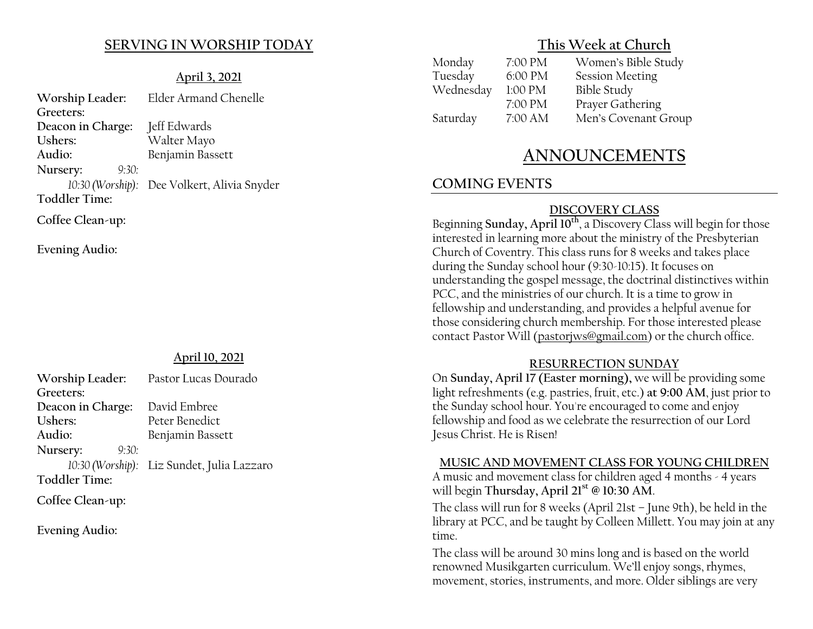# **SERVING IN WORSHIP TODAY**

## **April 3, 2021**

**Worship Leader:** Elder Armand Chenelle **Greeters: Deacon in Charge:** Jeff Edwards **Ushers:** Walter Mayo **Audio:** Benjamin Bassett **Nursery:** *9:30: 10:30 (Worship):* Dee Volkert, Alivia Snyder **Toddler Time: Coffee Clean-up:**

**Evening Audio:**

# **April 10, 2021**

| Worship Leader:   | Pastor Lucas Dourado                       |
|-------------------|--------------------------------------------|
| Greeters:         |                                            |
| Deacon in Charge: | David Embree                               |
| Ushers:           | Peter Benedict                             |
| Audio:            | Benjamin Bassett                           |
| Nursery:<br>9:30: |                                            |
|                   | 10:30 (Worship): Liz Sundet, Julia Lazzaro |
| Toddler Time:     |                                            |
|                   |                                            |

**Coffee Clean-up:**

**Evening Audio:**

# **This Week at Church**

| 7:00 PM | Women's Bible Study    |
|---------|------------------------|
| 6:00 PM | <b>Session Meeting</b> |
| 1:00 PM | <b>Bible Study</b>     |
| 7:00 PM | Prayer Gathering       |
| 7:00 AM | Men's Covenant Group   |
|         |                        |

# **ANNOUNCEMENTS**

# **COMING EVENTS**

### **DISCOVERY CLASS**

Beginning **Sunday, April 10th**, a Discovery Class will begin for those interested in learning more about the ministry of the Presbyterian Church of Coventry. This class runs for 8 weeks and takes place during the Sunday school hour (9:30-10:15). It focuses on understanding the gospel message, the doctrinal distinctives within PCC, and the ministries of our church. It is a time to grow in fellowship and understanding, and provides a helpful avenue for those considering church membership. For those interested please contact Pastor Will (pastorjws@gmail.com) or the church office.

#### **RESURRECTION SUNDAY**

On **Sunday, April 17 (Easter morning),** we will be providing some light refreshments (e.g. pastries, fruit, etc.) **at 9:00 AM**, just prior to the Sunday school hour. You're encouraged to come and enjoy fellowship and food as we celebrate the resurrection of our Lord Jesus Christ. He is Risen!

#### **MUSIC AND MOVEMENT CLASS FOR YOUNG CHILDREN**

A music and movement class for children aged 4 months - 4 years will begin **Thursday, April 21st @ 10:30 AM**.

The class will run for 8 weeks (April 21st  $-$  June 9th), be held in the library at PCC, and be taught by Colleen Millett. You may join at any time.

The class will be around 30 mins long and is based on the world renowned Musikgarten curriculum. We'll enjoy songs, rhymes, movement, stories, instruments, and more. Older siblings are very